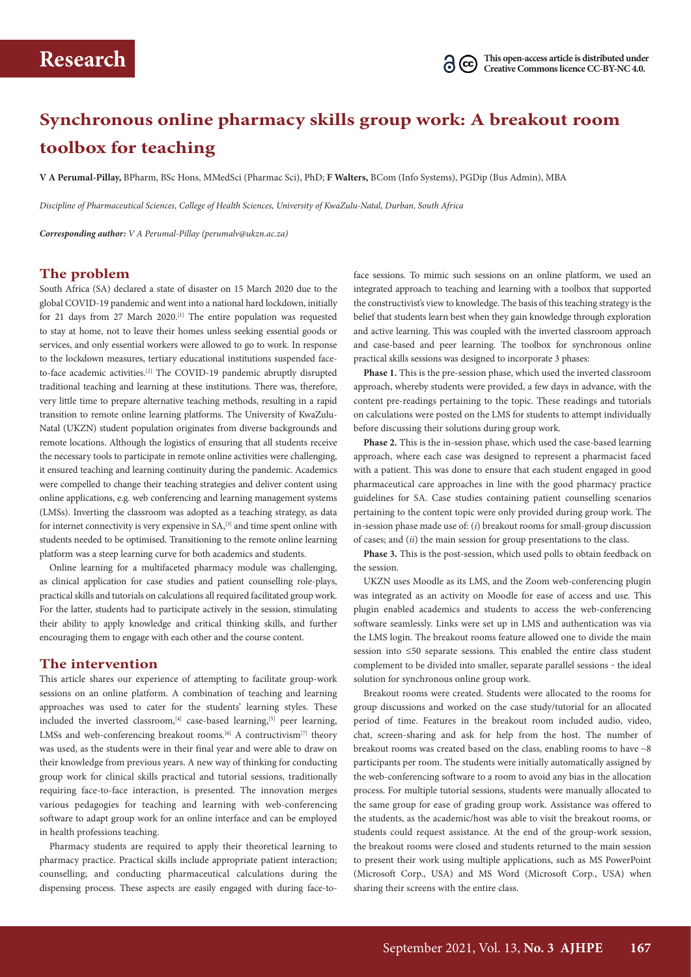# **Synchronous online pharmacy skills group work: A breakout room toolbox for teaching**

**V A Perumal-Pillay,** BPharm, BSc Hons, MMedSci (Pharmac Sci), PhD; **F Walters,** BCom (Info Systems), PGDip (Bus Admin), MBA

*Discipline of Pharmaceutical Sciences, College of Health Sciences, University of KwaZulu-Natal, Durban, South Africa*

*Corresponding author: V A Perumal-Pillay [\(perumalv@ukzn.ac.za\)](mailto:perumalv@ukzn.ac.za)*

## **The problem**

South Africa (SA) declared a state of disaster on 15 March 2020 due to the global COVID-19 pandemic and went into a national hard lockdown, initially for 21 days from 27 March 2020.[1] The entire population was requested to stay at home, not to leave their homes unless seeking essential goods or services, and only essential workers were allowed to go to work. In response to the lockdown measures, tertiary educational institutions suspended faceto-face academic activities.<sup>[2]</sup> The COVID-19 pandemic abruptly disrupted traditional teaching and learning at these institutions. There was, therefore, very little time to prepare alternative teaching methods, resulting in a rapid transition to remote online learning platforms. The University of KwaZulu-Natal (UKZN) student population originates from diverse backgrounds and remote locations. Although the logistics of ensuring that all students receive the necessary tools to participate in remote online activities were challenging, it ensured teaching and learning continuity during the pandemic. Academics were compelled to change their teaching strategies and deliver content using online applications, e.g. web conferencing and learning management systems (LMSs). Inverting the classroom was adopted as a teaching strategy, as data for internet connectivity is very expensive in SA,<sup>[3]</sup> and time spent online with students needed to be optimised. Transitioning to the remote online learning platform was a steep learning curve for both academics and students.

Online learning for a multifaceted pharmacy module was challenging, as clinical application for case studies and patient counselling role-plays, practical skills and tutorials on calculations all required facilitated group work. For the latter, students had to participate actively in the session, stimulating their ability to apply knowledge and critical thinking skills, and further encouraging them to engage with each other and the course content.

### **The intervention**

This article shares our experience of attempting to facilitate group-work sessions on an online platform. A combination of teaching and learning approaches was used to cater for the students' learning styles. These included the inverted classroom, $[4]$  case-based learning, $[5]$  peer learning, LMSs and web-conferencing breakout rooms.<sup>[6]</sup> A contructivism<sup>[7]</sup> theory was used, as the students were in their final year and were able to draw on their knowledge from previous years. A new way of thinking for conducting group work for clinical skills practical and tutorial sessions, traditionally requiring face-to-face interaction, is presented. The innovation merges various pedagogies for teaching and learning with web-conferencing software to adapt group work for an online interface and can be employed in health professions teaching.

Pharmacy students are required to apply their theoretical learning to pharmacy practice. Practical skills include appropriate patient interaction; counselling; and conducting pharmaceutical calculations during the dispensing process. These aspects are easily engaged with during face-toface sessions. To mimic such sessions on an online platform, we used an integrated approach to teaching and learning with a toolbox that supported the constructivist's view to knowledge. The basis of this teaching strategy is the belief that students learn best when they gain knowledge through exploration and active learning. This was coupled with the inverted classroom approach and case-based and peer learning. The toolbox for synchronous online practical skills sessions was designed to incorporate 3 phases:

**Phase 1.** This is the pre-session phase, which used the inverted classroom approach, whereby students were provided, a few days in advance, with the content pre-readings pertaining to the topic. These readings and tutorials on calculations were posted on the LMS for students to attempt individually before discussing their solutions during group work.

**Phase 2.** This is the in-session phase, which used the case-based learning approach, where each case was designed to represent a pharmacist faced with a patient. This was done to ensure that each student engaged in good pharmaceutical care approaches in line with the good pharmacy practice guidelines for SA. Case studies containing patient counselling scenarios pertaining to the content topic were only provided during group work. The in-session phase made use of: (*i*) breakout rooms for small-group discussion of cases; and (*ii*) the main session for group presentations to the class.

**Phase 3.** This is the post-session, which used polls to obtain feedback on the session.

UKZN uses Moodle as its LMS, and the Zoom web-conferencing plugin was integrated as an activity on Moodle for ease of access and use. This plugin enabled academics and students to access the web-conferencing software seamlessly. Links were set up in LMS and authentication was via the LMS login. The breakout rooms feature allowed one to divide the main session into ≤50 separate sessions. This enabled the entire class student complement to be divided into smaller, separate parallel sessions - the ideal solution for synchronous online group work.

Breakout rooms were created. Students were allocated to the rooms for group discussions and worked on the case study/tutorial for an allocated period of time. Features in the breakout room included audio, video, chat, screen-sharing and ask for help from the host. The number of breakout rooms was created based on the class, enabling rooms to have ~8 participants per room. The students were initially automatically assigned by the web-conferencing software to a room to avoid any bias in the allocation process. For multiple tutorial sessions, students were manually allocated to the same group for ease of grading group work. Assistance was offered to the students, as the academic/host was able to visit the breakout rooms, or students could request assistance. At the end of the group-work session, the breakout rooms were closed and students returned to the main session to present their work using multiple applications, such as MS PowerPoint (Microsoft Corp., USA) and MS Word (Microsoft Corp., USA) when sharing their screens with the entire class.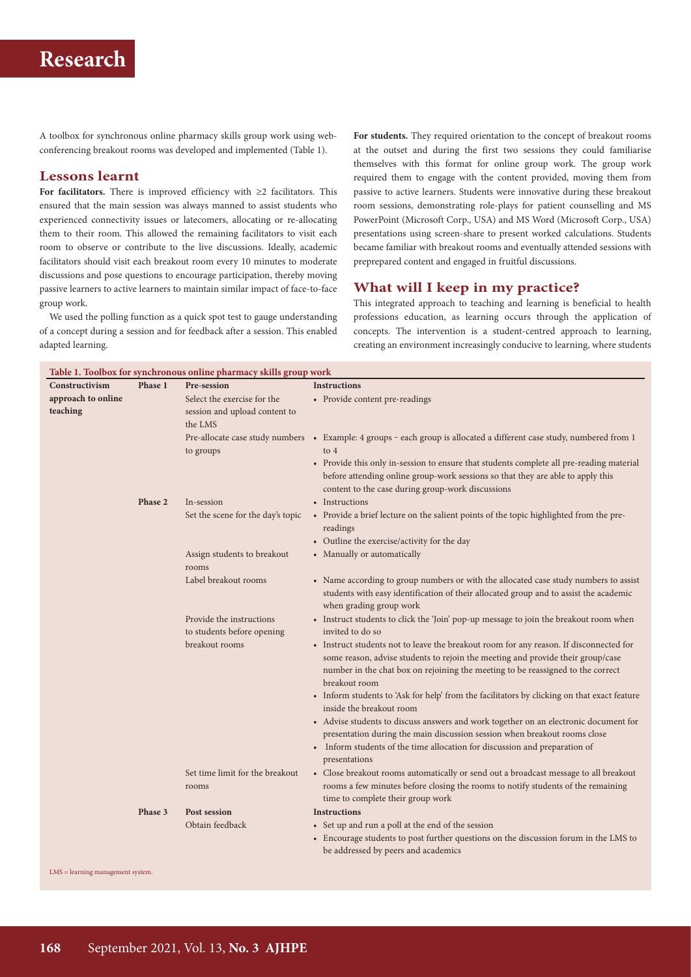# **Research**

A toolbox for synchronous online pharmacy skills group work using webconferencing breakout rooms was developed and implemented (Table 1).

### **Lessons learnt**

**For facilitators.** There is improved efficiency with ≥2 facilitators. This ensured that the main session was always manned to assist students who experienced connectivity issues or latecomers, allocating or re-allocating them to their room. This allowed the remaining facilitators to visit each room to observe or contribute to the live discussions. Ideally, academic facilitators should visit each breakout room every 10 minutes to moderate discussions and pose questions to encourage participation, thereby moving passive learners to active learners to maintain similar impact of face-to-face group work.

We used the polling function as a quick spot test to gauge understanding of a concept during a session and for feedback after a session. This enabled adapted learning.

**For students.** They required orientation to the concept of breakout rooms at the outset and during the first two sessions they could familiarise themselves with this format for online group work. The group work required them to engage with the content provided, moving them from passive to active learners. Students were innovative during these breakout room sessions, demonstrating role-plays for patient counselling and MS PowerPoint (Microsoft Corp., USA) and MS Word (Microsoft Corp., USA) presentations using screen-share to present worked calculations. Students became familiar with breakout rooms and eventually attended sessions with preprepared content and engaged in fruitful discussions.

## **What will I keep in my practice?**

This integrated approach to teaching and learning is beneficial to health professions education, as learning occurs through the application of concepts. The intervention is a student-centred approach to learning, creating an environment increasingly conducive to learning, where students

| Table 1. Toolbox for synchronous online pharmacy skills group work |         |                                                                         |                                                                                                                                                                                                                                                                               |
|--------------------------------------------------------------------|---------|-------------------------------------------------------------------------|-------------------------------------------------------------------------------------------------------------------------------------------------------------------------------------------------------------------------------------------------------------------------------|
| Constructivism                                                     | Phase 1 | Pre-session                                                             | <b>Instructions</b>                                                                                                                                                                                                                                                           |
| approach to online<br>teaching                                     |         | Select the exercise for the<br>session and upload content to<br>the LMS | • Provide content pre-readings                                                                                                                                                                                                                                                |
|                                                                    |         | Pre-allocate case study numbers<br>to groups                            | • Example: 4 groups - each group is allocated a different case study, numbered from 1<br>to 4                                                                                                                                                                                 |
|                                                                    |         |                                                                         | • Provide this only in-session to ensure that students complete all pre-reading material<br>before attending online group-work sessions so that they are able to apply this<br>content to the case during group-work discussions                                              |
|                                                                    | Phase 2 | In-session                                                              | • Instructions                                                                                                                                                                                                                                                                |
|                                                                    |         | Set the scene for the day's topic                                       | • Provide a brief lecture on the salient points of the topic highlighted from the pre-<br>readings                                                                                                                                                                            |
|                                                                    |         |                                                                         | • Outline the exercise/activity for the day                                                                                                                                                                                                                                   |
|                                                                    |         | Assign students to breakout<br>rooms                                    | • Manually or automatically                                                                                                                                                                                                                                                   |
|                                                                    |         | Label breakout rooms                                                    | • Name according to group numbers or with the allocated case study numbers to assist<br>students with easy identification of their allocated group and to assist the academic<br>when grading group work                                                                      |
|                                                                    |         | Provide the instructions<br>to students before opening                  | • Instruct students to click the 'Join' pop-up message to join the breakout room when<br>invited to do so                                                                                                                                                                     |
|                                                                    |         | breakout rooms                                                          | • Instruct students not to leave the breakout room for any reason. If disconnected for<br>some reason, advise students to rejoin the meeting and provide their group/case<br>number in the chat box on rejoining the meeting to be reassigned to the correct<br>breakout room |
|                                                                    |         |                                                                         | • Inform students to 'Ask for help' from the facilitators by clicking on that exact feature<br>inside the breakout room                                                                                                                                                       |
|                                                                    |         |                                                                         | • Advise students to discuss answers and work together on an electronic document for<br>presentation during the main discussion session when breakout rooms close<br>• Inform students of the time allocation for discussion and preparation of<br>presentations              |
|                                                                    |         | Set time limit for the breakout<br>rooms                                | • Close breakout rooms automatically or send out a broadcast message to all breakout<br>rooms a few minutes before closing the rooms to notify students of the remaining<br>time to complete their group work                                                                 |
|                                                                    | Phase 3 | Post session                                                            | <b>Instructions</b>                                                                                                                                                                                                                                                           |
|                                                                    |         | Obtain feedback                                                         | • Set up and run a poll at the end of the session                                                                                                                                                                                                                             |
|                                                                    |         |                                                                         | • Encourage students to post further questions on the discussion forum in the LMS to<br>be addressed by peers and academics                                                                                                                                                   |
|                                                                    |         |                                                                         |                                                                                                                                                                                                                                                                               |

LMS = learning management system.